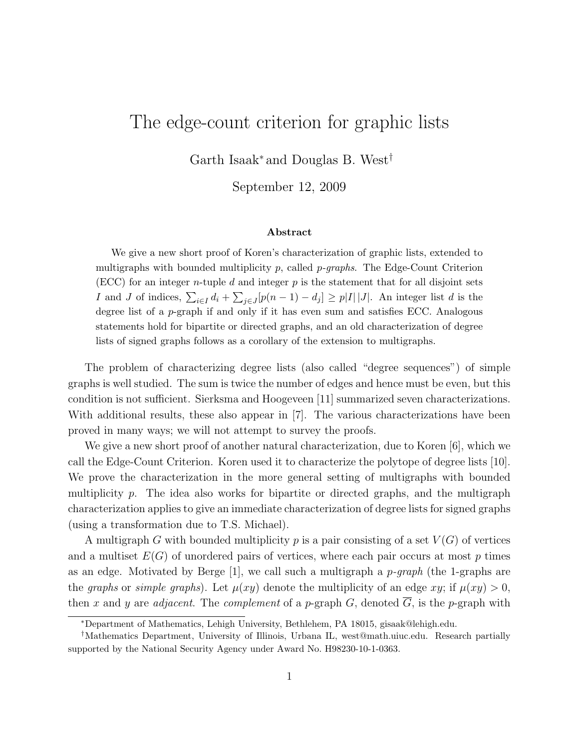## The edge-count criterion for graphic lists

Garth Isaak<sup>∗</sup> and Douglas B. West†

September 12, 2009

## Abstract

We give a new short proof of Koren's characterization of graphic lists, extended to multigraphs with bounded multiplicity  $p$ , called  $p$ -graphs. The Edge-Count Criterion (ECC) for an integer n-tuple d and integer  $p$  is the statement that for all disjoint sets I and J of indices,  $\sum_{i\in I} d_i + \sum_{j\in J} [p(n-1) - d_j] \geq p|I||J|$ . An integer list d is the degree list of a  $p$ -graph if and only if it has even sum and satisfies ECC. Analogous statements hold for bipartite or directed graphs, and an old characterization of degree lists of signed graphs follows as a corollary of the extension to multigraphs.

The problem of characterizing degree lists (also called "degree sequences") of simple graphs is well studied. The sum is twice the number of edges and hence must be even, but this condition is not sufficient. Sierksma and Hoogeveen [11] summarized seven characterizations. With additional results, these also appear in [7]. The various characterizations have been proved in many ways; we will not attempt to survey the proofs.

We give a new short proof of another natural characterization, due to Koren [6], which we call the Edge-Count Criterion. Koren used it to characterize the polytope of degree lists [10]. We prove the characterization in the more general setting of multigraphs with bounded multiplicity  $p$ . The idea also works for bipartite or directed graphs, and the multigraph characterization applies to give an immediate characterization of degree lists for signed graphs (using a transformation due to T.S. Michael).

A multigraph G with bounded multiplicity p is a pair consisting of a set  $V(G)$  of vertices and a multiset  $E(G)$  of unordered pairs of vertices, where each pair occurs at most p times as an edge. Motivated by Berge  $[1]$ , we call such a multigraph a p-graph (the 1-graphs are the graphs or simple graphs). Let  $\mu(xy)$  denote the multiplicity of an edge xy; if  $\mu(xy) > 0$ , then x and y are *adjacent*. The *complement* of a p-graph G, denoted  $\overline{G}$ , is the p-graph with

<sup>∗</sup>Department of Mathematics, Lehigh University, Bethlehem, PA 18015, gisaak@lehigh.edu.

<sup>†</sup>Mathematics Department, University of Illinois, Urbana IL, west@math.uiuc.edu. Research partially supported by the National Security Agency under Award No. H98230-10-1-0363.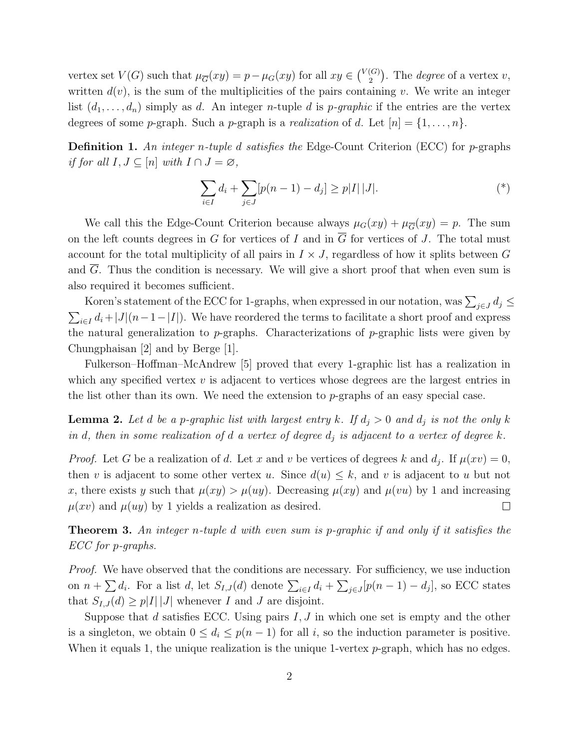vertex set  $V(G)$  such that  $\mu_{\overline{G}}(xy) = p - \mu_G(xy)$  for all  $xy \in {V(G) \choose 2}$  $\binom{G}{2}$ . The *degree* of a vertex v, written  $d(v)$ , is the sum of the multiplicities of the pairs containing v. We write an integer list  $(d_1,\ldots,d_n)$  simply as d. An integer *n*-tuple d is *p*-graphic if the entries are the vertex degrees of some *p*-graph. Such a *p*-graph is a *realization* of d. Let  $[n] = \{1, \ldots, n\}$ .

**Definition 1.** An integer n-tuple d satisfies the Edge-Count Criterion (ECC) for p-graphs if for all  $I, J \subseteq [n]$  with  $I \cap J = \emptyset$ ,

$$
\sum_{i \in I} d_i + \sum_{j \in J} [p(n-1) - d_j] \ge p|I| |J|.
$$
 (\*)

We call this the Edge-Count Criterion because always  $\mu_G(xy) + \mu_{\overline{G}}(xy) = p$ . The sum on the left counts degrees in G for vertices of I and in  $\overline{G}$  for vertices of J. The total must account for the total multiplicity of all pairs in  $I \times J$ , regardless of how it splits between G and G. Thus the condition is necessary. We will give a short proof that when even sum is also required it becomes sufficient.

Koren's statement of the ECC for 1-graphs, when expressed in our notation, was  $\sum_{j\in J} d_j \leq$  $\sum_{i\in I} d_i + |J|(n-1-|I|)$ . We have reordered the terms to facilitate a short proof and express the natural generalization to  $p$ -graphs. Characterizations of  $p$ -graphic lists were given by Chungphaisan [2] and by Berge [1].

Fulkerson–Hoffman–McAndrew [5] proved that every 1-graphic list has a realization in which any specified vertex  $v$  is adjacent to vertices whose degrees are the largest entries in the list other than its own. We need the extension to  $p$ -graphs of an easy special case.

**Lemma 2.** Let d be a p-graphic list with largest entry k. If  $d_j > 0$  and  $d_j$  is not the only k in d, then in some realization of d a vertex of degree  $d_i$  is adjacent to a vertex of degree k.

*Proof.* Let G be a realization of d. Let x and v be vertices of degrees k and  $d_j$ . If  $\mu(xv) = 0$ , then v is adjacent to some other vertex u. Since  $d(u) \leq k$ , and v is adjacent to u but not x, there exists y such that  $\mu(xy) > \mu(uy)$ . Decreasing  $\mu(xy)$  and  $\mu(vu)$  by 1 and increasing  $\mu(xv)$  and  $\mu(uy)$  by 1 yields a realization as desired. П

Theorem 3. An integer n-tuple d with even sum is p-graphic if and only if it satisfies the ECC for p-graphs.

Proof. We have observed that the conditions are necessary. For sufficiency, we use induction on  $n + \sum d_i$ . For a list d, let  $S_{I,J}(d)$  denote  $\sum_{i\in I} d_i + \sum_{j\in J} [p(n-1) - d_j]$ , so ECC states that  $S_{I,J}(d) \geq p|I| |J|$  whenever I and J are disjoint.

Suppose that d satisfies ECC. Using pairs  $I, J$  in which one set is empty and the other is a singleton, we obtain  $0 \leq d_i \leq p(n-1)$  for all i, so the induction parameter is positive. When it equals 1, the unique realization is the unique 1-vertex  $p$ -graph, which has no edges.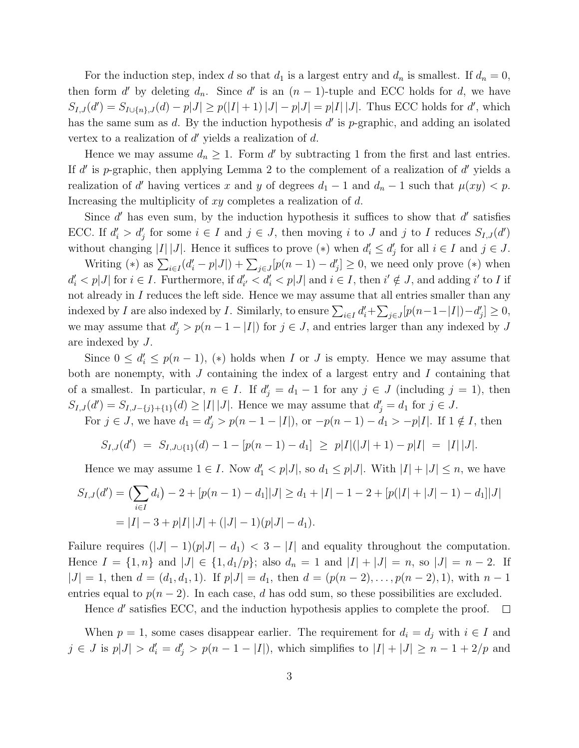For the induction step, index d so that  $d_1$  is a largest entry and  $d_n$  is smallest. If  $d_n = 0$ , then form d' by deleting  $d_n$ . Since d' is an  $(n-1)$ -tuple and ECC holds for d, we have  $S_{I,J}(d') = S_{I \cup \{n\},J}(d) - p|J| \ge p(|I|+1)|J| - p|J| = p|I||J|$ . Thus ECC holds for d', which has the same sum as  $d$ . By the induction hypothesis  $d'$  is p-graphic, and adding an isolated vertex to a realization of  $d'$  yields a realization of  $d$ .

Hence we may assume  $d_n \geq 1$ . Form d' by subtracting 1 from the first and last entries. If  $d'$  is p-graphic, then applying Lemma 2 to the complement of a realization of  $d'$  yields a realization of d' having vertices x and y of degrees  $d_1 - 1$  and  $d_n - 1$  such that  $\mu(xy) < p$ . Increasing the multiplicity of xy completes a realization of d.

Since  $d'$  has even sum, by the induction hypothesis it suffices to show that  $d'$  satisfies ECC. If  $d'_i > d'_j$  for some  $i \in I$  and  $j \in J$ , then moving i to J and j to I reduces  $S_{I,J}(d')$ without changing |I||J|. Hence it suffices to prove (\*) when  $d'_i \leq d'_j$  for all  $i \in I$  and  $j \in J$ .

Writing (\*) as  $\sum_{i\in I} (d_i'-p|J|) + \sum_{j\in J} [p(n-1)-d_j'] \geq 0$ , we need only prove (\*) when  $d'_i < p|J|$  for  $i \in I$ . Furthermore, if  $d'_{i'} < d'_{i} < p|J|$  and  $i \in I$ , then  $i' \notin J$ , and adding  $i'$  to I if not already in  $I$  reduces the left side. Hence we may assume that all entries smaller than any indexed by *I* are also indexed by *I*. Similarly, to ensure  $\sum_{i \in I} d'_i + \sum_{j \in J} [p(n-1-|I|) - d'_j] \ge 0$ , we may assume that  $d'_j > p(n-1-|I|)$  for  $j \in J$ , and entries larger than any indexed by J are indexed by J.

Since  $0 \le d_i \le p(n-1)$ , (\*) holds when I or J is empty. Hence we may assume that both are nonempty, with J containing the index of a largest entry and I containing that of a smallest. In particular,  $n \in I$ . If  $d'_{j} = d_{1} - 1$  for any  $j \in J$  (including  $j = 1$ ), then  $S_{I,J}(d') = S_{I,J-\{j\}+\{1\}}(d) \geq |I| |J|$ . Hence we may assume that  $d'_j = d_1$  for  $j \in J$ .

For  $j \in J$ , we have  $d_1 = d'_j > p(n - 1 - |I|)$ , or  $-p(n - 1) - d_1 > -p|I|$ . If  $1 \notin I$ , then

$$
S_{I,J}(d') = S_{I,J\cup\{1\}}(d) - 1 - [p(n-1) - d_1] \geq p|I|(|J|+1) - p|I| = |I||J|.
$$

Hence we may assume  $1 \in I$ . Now  $d'_1 < p|J|$ , so  $d_1 \leq p|J|$ . With  $|I| + |J| \leq n$ , we have

$$
S_{I,J}(d') = \left(\sum_{i \in I} d_i\right) - 2 + \left[p(n-1) - d_1\right]|J| \ge d_1 + |I| - 1 - 2 + \left[p(|I| + |J| - 1) - d_1\right]|J|
$$
  
= |I| - 3 + p|I| |J| + (|J| - 1)(p|J| - d\_1).

Failure requires  $(|J| - 1)(p|J| - d_1) < 3 - |I|$  and equality throughout the computation. Hence  $I = \{1, n\}$  and  $|J| \in \{1, d_1/p\}$ ; also  $d_n = 1$  and  $|I| + |J| = n$ , so  $|J| = n - 2$ . If  $|J| = 1$ , then  $d = (d_1, d_1, 1)$ . If  $p|J| = d_1$ , then  $d = (p(n-2), \ldots, p(n-2), 1)$ , with  $n-1$ entries equal to  $p(n-2)$ . In each case, d has odd sum, so these possibilities are excluded.

Hence d' satisfies ECC, and the induction hypothesis applies to complete the proof.  $\Box$ 

When  $p = 1$ , some cases disappear earlier. The requirement for  $d_i = d_j$  with  $i \in I$  and  $j \in J$  is  $p|J| > d'_{i} = d'_{j} > p(n-1-|I|)$ , which simplifies to  $|I| + |J| \ge n-1+2/p$  and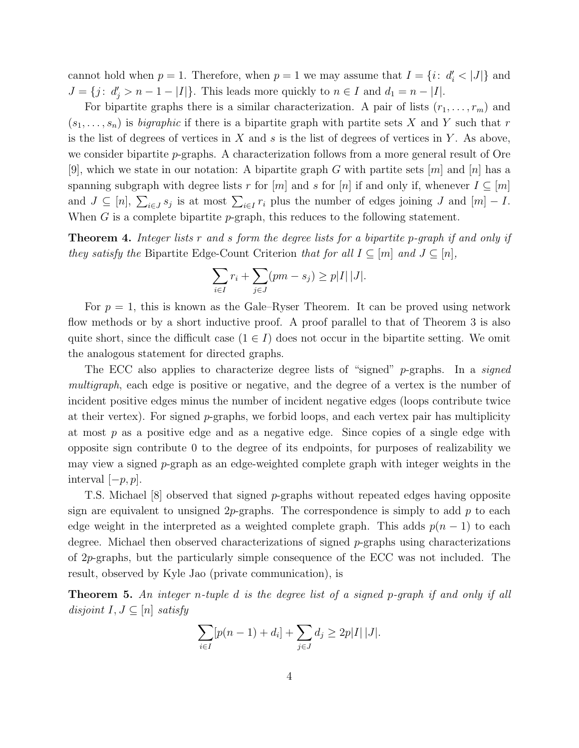cannot hold when  $p = 1$ . Therefore, when  $p = 1$  we may assume that  $I = \{i : d'_i < |J|\}$  and  $J = \{j : d'_j > n - 1 - |I|\}.$  This leads more quickly to  $n \in I$  and  $d_1 = n - |I|.$ 

For bipartite graphs there is a similar characterization. A pair of lists  $(r_1, \ldots, r_m)$  and  $(s_1, \ldots, s_n)$  is *bigraphic* if there is a bipartite graph with partite sets X and Y such that r is the list of degrees of vertices in  $X$  and  $s$  is the list of degrees of vertices in  $Y$ . As above, we consider bipartite p-graphs. A characterization follows from a more general result of Ore [9], which we state in our notation: A bipartite graph G with partite sets  $[m]$  and  $[n]$  has a spanning subgraph with degree lists r for  $[m]$  and s for  $[n]$  if and only if, whenever  $I \subseteq [m]$ and  $J \subseteq [n], \sum_{i \in J} s_i$  is at most  $\sum_{i \in I} r_i$  plus the number of edges joining J and  $[m] - I$ . When  $G$  is a complete bipartite p-graph, this reduces to the following statement.

**Theorem 4.** Integer lists r and s form the degree lists for a bipartite p-graph if and only if they satisfy the Bipartite Edge-Count Criterion that for all  $I \subseteq [m]$  and  $J \subseteq [n]$ ,

$$
\sum_{i \in I} r_i + \sum_{j \in J} (pm - s_j) \ge p|I| |J|.
$$

For  $p = 1$ , this is known as the Gale–Ryser Theorem. It can be proved using network flow methods or by a short inductive proof. A proof parallel to that of Theorem 3 is also quite short, since the difficult case  $(1 \in I)$  does not occur in the bipartite setting. We omit the analogous statement for directed graphs.

The ECC also applies to characterize degree lists of "signed" p-graphs. In a signed multigraph, each edge is positive or negative, and the degree of a vertex is the number of incident positive edges minus the number of incident negative edges (loops contribute twice at their vertex). For signed  $p$ -graphs, we forbid loops, and each vertex pair has multiplicity at most  $p$  as a positive edge and as a negative edge. Since copies of a single edge with opposite sign contribute 0 to the degree of its endpoints, for purposes of realizability we may view a signed  $p$ -graph as an edge-weighted complete graph with integer weights in the interval  $[-p, p]$ .

T.S. Michael [8] observed that signed p-graphs without repeated edges having opposite sign are equivalent to unsigned 2p-graphs. The correspondence is simply to add  $p$  to each edge weight in the interpreted as a weighted complete graph. This adds  $p(n-1)$  to each degree. Michael then observed characterizations of signed  $p$ -graphs using characterizations of 2p-graphs, but the particularly simple consequence of the ECC was not included. The result, observed by Kyle Jao (private communication), is

Theorem 5. An integer n-tuple d is the degree list of a signed p-graph if and only if all disjoint  $I, J \subseteq [n]$  satisfy

$$
\sum_{i \in I} [p(n-1) + d_i] + \sum_{j \in J} d_j \ge 2p|I| |J|.
$$